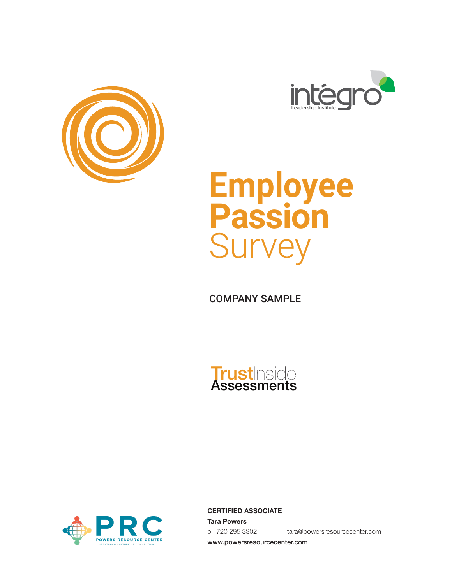





COMPANY SAMPLE





**CERTIFIED ASSOCIATE Tara Powers** p | 720 295 3302 tara@powersresourcecenter.com www.powersresourcecenter.com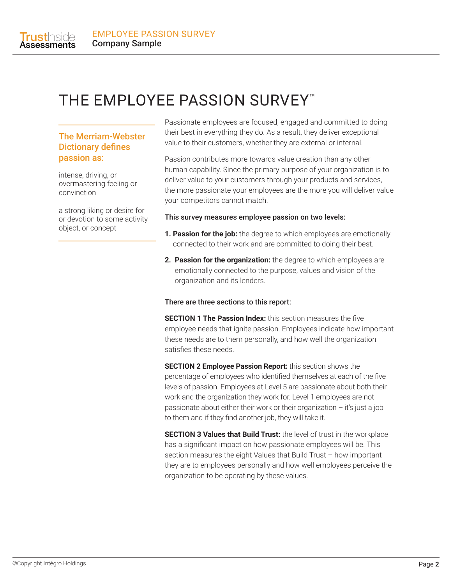

# THE EMPLOYEE PASSION SURVEY<sup>™</sup>

#### The Merriam-Webster Dictionary defines passion as:

intense, driving, or overmastering feeling or convinction

a strong liking or desire for or devotion to some activity object, or concept

Passionate employees are focused, engaged and committed to doing their best in everything they do. As a result, they deliver exceptional value to their customers, whether they are external or internal.

Passion contributes more towards value creation than any other human capability. Since the primary purpose of your organization is to deliver value to your customers through your products and services, the more passionate your employees are the more you will deliver value your competitors cannot match.

#### This survey measures employee passion on two levels:

- **1. Passion for the job:** the degree to which employees are emotionally connected to their work and are committed to doing their best.
- **2. Passion for the organization:** the degree to which employees are emotionally connected to the purpose, values and vision of the organization and its lenders.

#### There are three sections to this report:

**SECTION 1 The Passion Index:** this section measures the five employee needs that ignite passion. Employees indicate how important these needs are to them personally, and how well the organization satisfies these needs.

**SECTION 2 Employee Passion Report:** this section shows the percentage of employees who identified themselves at each of the five levels of passion. Employees at Level 5 are passionate about both their work and the organization they work for. Level 1 employees are not passionate about either their work or their organization – it's just a job to them and if they find another job, they will take it.

**SECTION 3 Values that Build Trust:** the level of trust in the workplace has a significant impact on how passionate employees will be. This section measures the eight Values that Build Trust – how important they are to employees personally and how well employees perceive the organization to be operating by these values.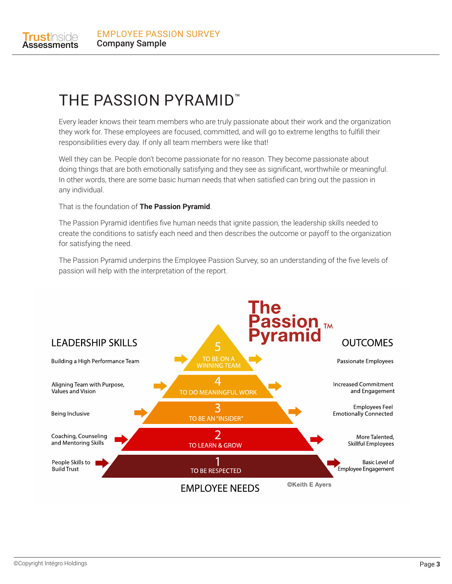

# THE PASSION PYRAMID™

Every leader knows their team members who are truly passionate about their work and the organization they work for. These employees are focused, committed, and will go to extreme lengths to fulfill their responsibilities every day. If only all team members were like that!

Well they can be. People don't become passionate for no reason. They become passionate about doing things that are both emotionally satisfying and they see as significant, worthwhile or meaningful. In other words, there are some basic human needs that when satisfied can bring out the passion in any individual.

That is the foundation of **The Passion Pyramid**.

The Passion Pyramid identifies five human needs that ignite passion, the leadership skills needed to create the conditions to satisfy each need and then describes the outcome or payoff to the organization for satisfying the need.

The Passion Pyramid underpins the Employee Passion Survey, so an understanding of the five levels of passion will help with the interpretation of the report.

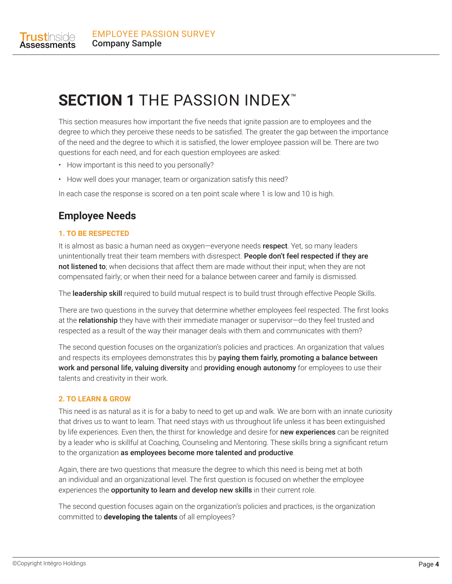

# **SECTION 1** THE PASSION INDEX™

This section measures how important the five needs that ignite passion are to employees and the degree to which they perceive these needs to be satisfied. The greater the gap between the importance of the need and the degree to which it is satisfied, the lower employee passion will be. There are two questions for each need, and for each question employees are asked:

- How important is this need to you personally?
- How well does your manager, team or organization satisfy this need?

In each case the response is scored on a ten point scale where 1 is low and 10 is high.

## **Employee Needs**

#### **1. TO BE RESPECTED**

It is almost as basic a human need as oxygen—everyone needs respect. Yet, so many leaders unintentionally treat their team members with disrespect. People don't feel respected if they are not listened to; when decisions that affect them are made without their input; when they are not compensated fairly; or when their need for a balance between career and family is dismissed.

The leadership skill required to build mutual respect is to build trust through effective People Skills.

There are two questions in the survey that determine whether employees feel respected. The first looks at the **relationship** they have with their immediate manager or supervisor-do they feel trusted and respected as a result of the way their manager deals with them and communicates with them?

The second question focuses on the organization's policies and practices. An organization that values and respects its employees demonstrates this by **paying them fairly, promoting a balance between** work and personal life, valuing diversity and providing enough autonomy for employees to use their talents and creativity in their work.

#### **2. TO LEARN & GROW**

This need is as natural as it is for a baby to need to get up and walk. We are born with an innate curiosity that drives us to want to learn. That need stays with us throughout life unless it has been extinguished by life experiences. Even then, the thirst for knowledge and desire for **new experiences** can be reignited by a leader who is skillful at Coaching, Counseling and Mentoring. These skills bring a significant return to the organization as employees become more talented and productive.

Again, there are two questions that measure the degree to which this need is being met at both an individual and an organizational level. The first question is focused on whether the employee experiences the opportunity to learn and develop new skills in their current role.

The second question focuses again on the organization's policies and practices, is the organization committed to **developing the talents** of all employees?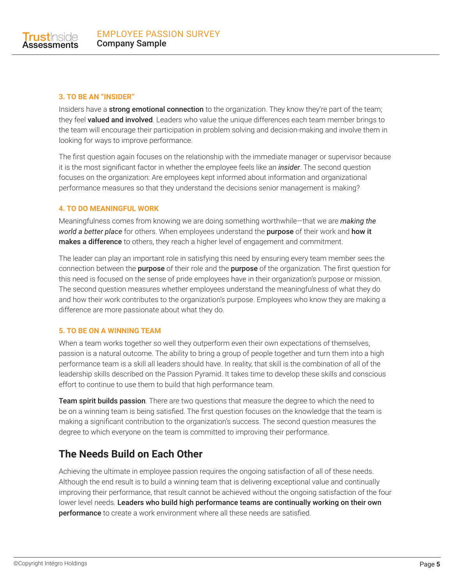

#### **3. TO BE AN "INSIDER"**

Insiders have a strong emotional connection to the organization. They know they're part of the team; they feel valued and involved. Leaders who value the unique differences each team member brings to the team will encourage their participation in problem solving and decision-making and involve them in looking for ways to improve performance.

The first question again focuses on the relationship with the immediate manager or supervisor because it is the most significant factor in whether the employee feels like an *insider*. The second question focuses on the organization: Are employees kept informed about information and organizational performance measures so that they understand the decisions senior management is making?

#### **4. TO DO MEANINGFUL WORK**

Meaningfulness comes from knowing we are doing something worthwhile—that we are *making the world a better place* for others. When employees understand the purpose of their work and how it makes a difference to others, they reach a higher level of engagement and commitment.

The leader can play an important role in satisfying this need by ensuring every team member sees the connection between the **purpose** of their role and the **purpose** of the organization. The first question for this need is focused on the sense of pride employees have in their organization's purpose or mission. The second question measures whether employees understand the meaningfulness of what they do and how their work contributes to the organization's purpose. Employees who know they are making a difference are more passionate about what they do.

#### **5. TO BE ON A WINNING TEAM**

When a team works together so well they outperform even their own expectations of themselves, passion is a natural outcome. The ability to bring a group of people together and turn them into a high performance team is a skill all leaders should have. In reality, that skill is the combination of all of the leadership skills described on the Passion Pyramid. It takes time to develop these skills and conscious effort to continue to use them to build that high performance team.

Team spirit builds passion. There are two questions that measure the degree to which the need to be on a winning team is being satisfied. The first question focuses on the knowledge that the team is making a significant contribution to the organization's success. The second question measures the degree to which everyone on the team is committed to improving their performance.

## **The Needs Build on Each Other**

Achieving the ultimate in employee passion requires the ongoing satisfaction of all of these needs. Although the end result is to build a winning team that is delivering exceptional value and continually improving their performance, that result cannot be achieved without the ongoing satisfaction of the four lower level needs. Leaders who build high performance teams are continually working on their own **performance** to create a work environment where all these needs are satisfied.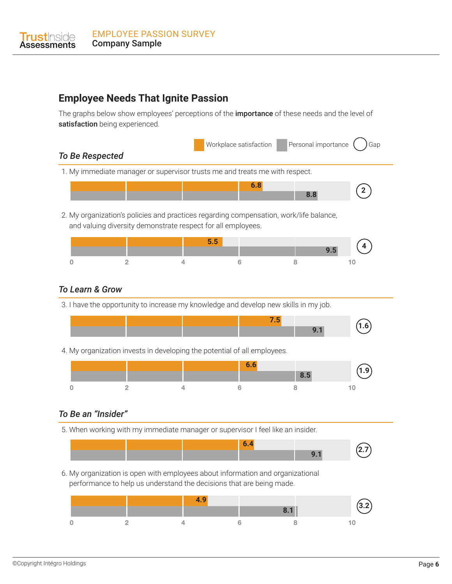

## **Employee Needs That Ignite Passion**

The graphs below show employees' perceptions of the *importance* of these needs and the level of satisfaction being experienced.

Workplace satisfaction **Personal importance** ( ) Gap

### *To Be Respected*

1. My immediate manager or supervisor trusts me and treats me with respect.



2. My organization's policies and practices regarding compensation, work/life balance, and valuing diversity demonstrate respect for all employees.



### *To Learn & Grow*

3. I have the opportunity to increase my knowledge and develop new skills in my job.



4. My organization invests in developing the potential of all employees.



### *To Be an "Insider"*

5. When working with my immediate manager or supervisor I feel like an insider.



6. My organization is open with employees about information and organizational performance to help us understand the decisions that are being made.

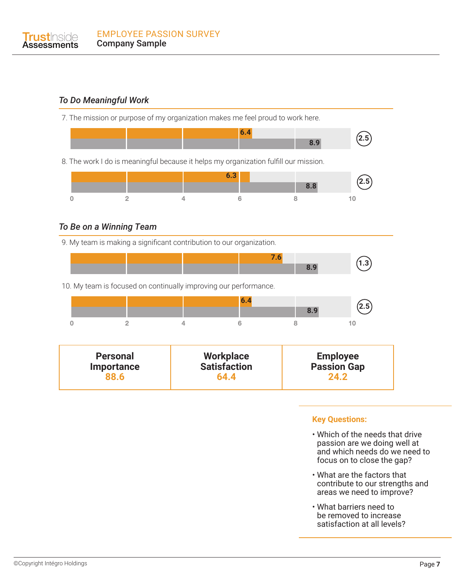### *To Do Meaningful Work*

7. The mission or purpose of my organization makes me feel proud to work here. **2.5 6.4 8.9** 8. The work I do is meaningful because it helps my organization fulfill our mission. **2.5 6.3 8.8**

 $6\phantom{a}$ 

8

### *To Be on a Winning Team*

 $\overline{2}$ 

9. My team is making a significant contribution to our organization.

 $\overline{4}$ 



10. My team is focused on continually improving our performance.



| <b>Personal</b>   | <b>Workplace</b>    | <b>Employee</b>    |  |
|-------------------|---------------------|--------------------|--|
| <b>Importance</b> | <b>Satisfaction</b> | <b>Passion Gap</b> |  |
| <b>88.6</b>       | 64.4                | 742                |  |

#### **Key Questions:**

 $10$ 

- Which of the needs that drive passion are we doing well at and which needs do we need to focus on to close the gap?
- What are the factors that contribute to our strengths and areas we need to improve?
- What barriers need to be removed to increase satisfaction at all levels?

 $\overline{0}$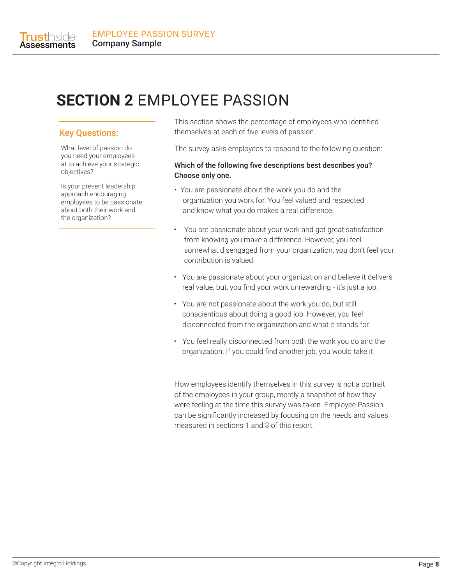

# **SECTION 2** EMPLOYEE PASSION

#### Key Questions:

What level of passion do you need your employees at to achieve your strategic objectives?

Is your present leadership approach encouraging employees to be passionate about both their work and the organization?

This section shows the percentage of employees who identified themselves at each of five levels of passion.

The survey asks employees to respond to the following question:

#### Which of the following five descriptions best describes you? Choose only one.

- You are passionate about the work you do and the organization you work for. You feel valued and respected and know what you do makes a real difference.
- You are passionate about your work and get great satisfaction from knowing you make a difference. However, you feel somewhat disengaged from your organization, you don't feel your contribution is valued.
- You are passionate about your organization and believe it delivers real value, but, you find your work unrewarding - it's just a job.
- You are not passionate about the work you do, but still conscientious about doing a good job. However, you feel disconnected from the organization and what it stands for.
- You feel really disconnected from both the work you do and the organization. If you could find another job, you would take it.

How employees identify themselves in this survey is not a portrait of the employees in your group, merely a snapshot of how they were feeling at the time this survey was taken. Employee Passion can be significantly increased by focusing on the needs and values measured in sections 1 and 3 of this report.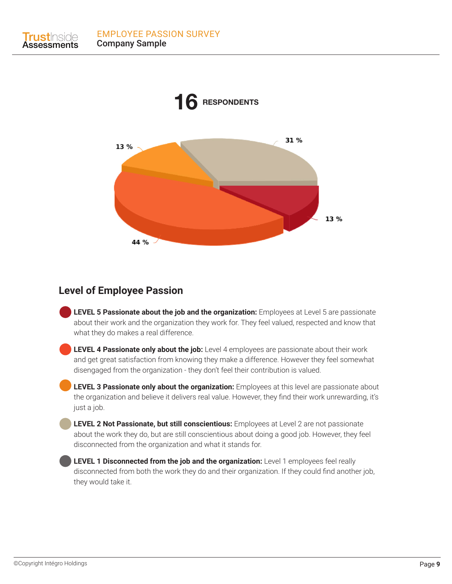**Trust**Inside **Assessments** 



## **Level of Employee Passion**

**LEVEL 5 Passionate about the job and the organization:** Employees at Level 5 are passionate about their work and the organization they work for. They feel valued, respected and know that what they do makes a real difference.

**LEVEL 4 Passionate only about the job:** Level 4 employees are passionate about their work and get great satisfaction from knowing they make a difference. However they feel somewhat disengaged from the organization - they don't feel their contribution is valued.

**LEVEL 3 Passionate only about the organization:** *Employees at this level are passionate about* the organization and believe it delivers real value. However, they find their work unrewarding, it's just a job.

**LEVEL 2 Not Passionate, but still conscientious:** Employees at Level 2 are not passionate about the work they do, but are still conscientious about doing a good job. However, they feel disconnected from the organization and what it stands for.

**LEVEL 1 Disconnected from the job and the organization:** Level 1 employees feel really disconnected from both the work they do and their organization. If they could find another job, they would take it.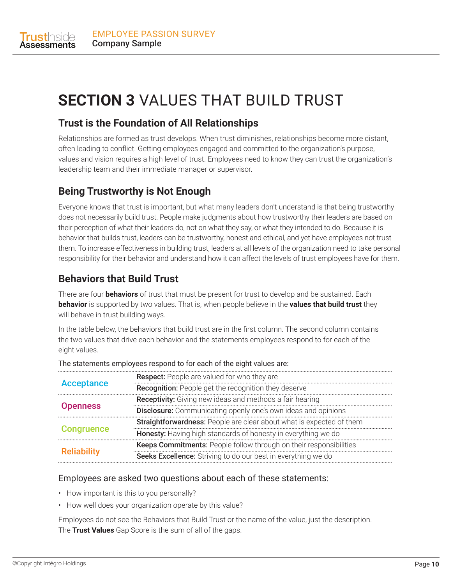

# **SECTION 3** VALUES THAT BUILD TRUST

# **Trust is the Foundation of All Relationships**

Relationships are formed as trust develops. When trust diminishes, relationships become more distant, often leading to conflict. Getting employees engaged and committed to the organization's purpose, values and vision requires a high level of trust. Employees need to know they can trust the organization's leadership team and their immediate manager or supervisor.

# **Being Trustworthy is Not Enough**

Everyone knows that trust is important, but what many leaders don't understand is that being trustworthy does not necessarily build trust. People make judgments about how trustworthy their leaders are based on their perception of what their leaders do, not on what they say, or what they intended to do. Because it is behavior that builds trust, leaders can be trustworthy, honest and ethical, and yet have employees not trust them. To increase effectiveness in building trust, leaders at all levels of the organization need to take personal responsibility for their behavior and understand how it can affect the levels of trust employees have for them.

# **Behaviors that Build Trust**

There are four **behaviors** of trust that must be present for trust to develop and be sustained. Each **behavior** is supported by two values. That is, when people believe in the **values that build trust** they will behave in trust building ways.

In the table below, the behaviors that build trust are in the first column. The second column contains the two values that drive each behavior and the statements employees respond to for each of the eight values.

| <b>Acceptance</b>  | <b>Respect:</b> People are valued for who they are                          |
|--------------------|-----------------------------------------------------------------------------|
|                    | <b>Recognition:</b> People get the recognition they deserve                 |
| <b>Openness</b>    | Receptivity: Giving new ideas and methods a fair hearing                    |
|                    | <b>Disclosure:</b> Communicating openly one's own ideas and opinions        |
| <b>Congruence</b>  | <b>Straightforwardness:</b> People are clear about what is expected of them |
|                    | Honesty: Having high standards of honesty in everything we do               |
| <b>Reliability</b> | Keeps Commitments: People follow through on their responsibilities          |
|                    | Seeks Excellence: Striving to do our best in everything we do               |

#### The statements employees respond to for each of the eight values are:

#### Employees are asked two questions about each of these statements:

- How important is this to you personally?
- How well does your organization operate by this value?

Employees do not see the Behaviors that Build Trust or the name of the value, just the description. The **Trust Values** Gap Score is the sum of all of the gaps.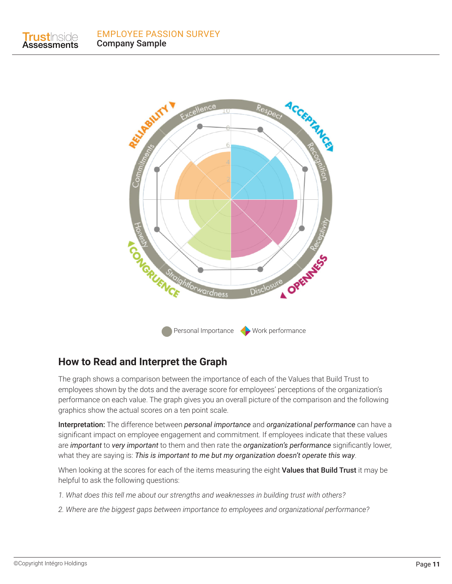**Trust**Inside **Assessments** 



## **How to Read and Interpret the Graph**

The graph shows a comparison between the importance of each of the Values that Build Trust to employees shown by the dots and the average score for employees' perceptions of the organization's performance on each value. The graph gives you an overall picture of the comparison and the following graphics show the actual scores on a ten point scale.

Interpretation: The difference between *personal importance* and *organizational performance* can have a significant impact on employee engagement and commitment. If employees indicate that these values are *important* to *very important* to them and then rate the *organization's performance* significantly lower, what they are saying is: *This is important to me but my organization doesn't operate this way*.

When looking at the scores for each of the items measuring the eight Values that Build Trust it may be helpful to ask the following questions:

- *1. What does this tell me about our strengths and weaknesses in building trust with others?*
- *2. Where are the biggest gaps between importance to employees and organizational performance?*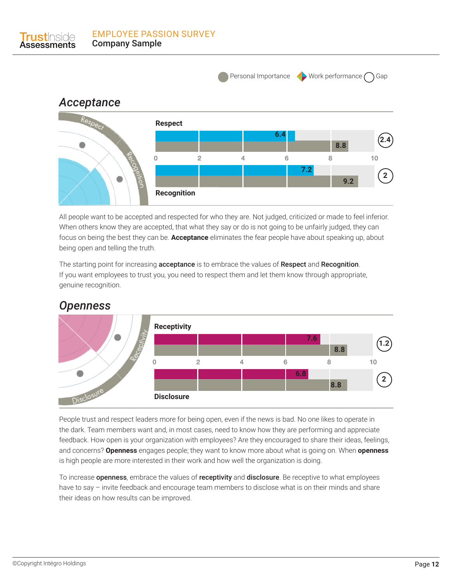

EMPLOYEE PASSION SURVEY

All people want to be accepted and respected for who they are. Not judged, criticized or made to feel inferior. When others know they are accepted, that what they say or do is not going to be unfairly judged, they can focus on being the best they can be. **Acceptance** eliminates the fear people have about speaking up, about being open and telling the truth.

The starting point for increasing **acceptance** is to embrace the values of **Respect** and **Recognition**. If you want employees to trust you, you need to respect them and let them know through appropriate, genuine recognition.



# *Openness*

**Ist**Inside

People trust and respect leaders more for being open, even if the news is bad. No one likes to operate in the dark. Team members want and, in most cases, need to know how they are performing and appreciate feedback. How open is your organization with employees? Are they encouraged to share their ideas, feelings, and concerns? **Openness** engages people; they want to know more about what is going on. When **openness** is high people are more interested in their work and how well the organization is doing.

To increase **openness**, embrace the values of **receptivity** and **disclosure**. Be receptive to what employees have to say – invite feedback and encourage team members to disclose what is on their minds and share their ideas on how results can be improved.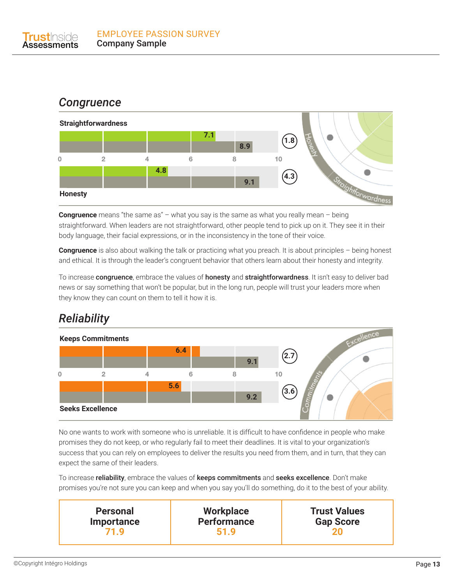# *Congruence*



**Congruence** means "the same as" – what you say is the same as what you really mean – being straightforward. When leaders are not straightforward, other people tend to pick up on it. They see it in their body language, their facial expressions, or in the inconsistency in the tone of their voice.

**Congruence** is also about walking the talk or practicing what you preach. It is about principles – being honest and ethical. It is through the leader's congruent behavior that others learn about their honesty and integrity.

To increase congruence, embrace the values of honesty and straightforwardness. It isn't easy to deliver bad news or say something that won't be popular, but in the long run, people will trust your leaders more when they know they can count on them to tell it how it is.

# *Reliability*



No one wants to work with someone who is unreliable. It is difficult to have confidence in people who make promises they do not keep, or who regularly fail to meet their deadlines. It is vital to your organization's success that you can rely on employees to deliver the results you need from them, and in turn, that they can expect the same of their leaders.

To increase reliability, embrace the values of keeps commitments and seeks excellence. Don't make promises you're not sure you can keep and when you say you'll do something, do it to the best of your ability.

| <b>Personal</b><br><b>Importance</b> | <b>Workplace</b><br><b>Performance</b><br>519 | <b>Trust Values</b><br><b>Gap Score</b> |
|--------------------------------------|-----------------------------------------------|-----------------------------------------|
|--------------------------------------|-----------------------------------------------|-----------------------------------------|